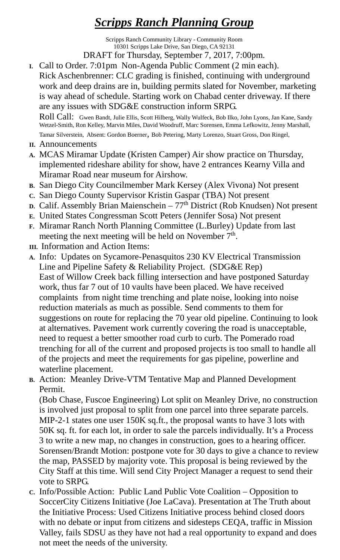## *Scripps Ranch Planning Group*

Scripps Ranch Community Library - Community Room 10301 Scripps Lake Drive, San Diego, CA 92131

DRAFT for Thursday, September 7, 2017, 7:00pm.

**I.** Call to Order. 7:01pm Non-Agenda Public Comment (2 min each). Rick Aschenbrenner: CLC grading is finished, continuing with underground work and deep drains are in, building permits slated for November, marketing is way ahead of schedule. Starting work on Chabad center driveway. If there are any issues with SDG&E construction inform SRPG.

Roll Call: Gwen Bandt, Julie Ellis, Scott Hilberg, Wally Wulfeck, Bob Ilko, John Lyons, Jan Kane, Sandy Wetzel-Smith, Ron Kelley, Marvin Miles, David Woodruff, Marc Sorensen, Emma Lefkowitz, Jenny Marshall, Tamar Silverstein, Absent: Gordon Boerner, Bob Petering, Marty Lorenzo, Stuart Gross, Don Ringel,

- **II.** Announcements
- **A.** MCAS Miramar Update (Kristen Camper) Air show practice on Thursday, implemented rideshare ability for show, have 2 entrances Kearny Villa and Miramar Road near museum for Airshow.
- **B.** San Diego City Councilmember Mark Kersey (Alex Vivona) Not present
- **C.** San Diego County Supervisor Kristin Gaspar (TBA) Not present
- **D.** Calif. Assembly Brian Maienschein 77<sup>th</sup> District (Rob Knudsen) Not present
- **E.** United States Congressman Scott Peters (Jennifer Sosa) Not present
- **F.** Miramar Ranch North Planning Committee (L.Burley) Update from last meeting the next meeting will be held on November  $7<sup>th</sup>$ .
- **III.** Information and Action Items:
- **A.** Info: Updates on Sycamore-Penasquitos 230 KV Electrical Transmission Line and Pipeline Safety & Reliability Project. (SDG&E Rep) East of Willow Creek back filling intersection and have postponed Saturday work, thus far 7 out of 10 vaults have been placed. We have received complaints from night time trenching and plate noise, looking into noise reduction materials as much as possible. Send comments to them for suggestions on route for replacing the 70 year old pipeline. Continuing to look at alternatives. Pavement work currently covering the road is unacceptable, need to request a better smoother road curb to curb. The Pomerado road trenching for all of the current and proposed projects is too small to handle all of the projects and meet the requirements for gas pipeline, powerline and waterline placement.
- **B.** Action: Meanley Drive-VTM Tentative Map and Planned Development Permit.

(Bob Chase, Fuscoe Engineering) Lot split on Meanley Drive, no construction is involved just proposal to split from one parcel into three separate parcels. MIP-2-1 states one user 150K sq.ft., the proposal wants to have 3 lots with 50K sq. ft. for each lot, in order to sale the parcels individually. It's a Process 3 to write a new map, no changes in construction, goes to a hearing officer. Sorensen/Brandt Motion: postpone vote for 30 days to give a chance to review the map, PASSED by majority vote. This proposal is being reviewed by the City Staff at this time. Will send City Project Manager a request to send their vote to SRPG.

**C.** Info/Possible Action: Public Land Public Vote Coalition – Opposition to SoccerCity Citizens Initiative (Joe LaCava). Presentation at The Truth about the Initiative Process: Used Citizens Initiative process behind closed doors with no debate or input from citizens and sidesteps CEQA, traffic in Mission Valley, fails SDSU as they have not had a real opportunity to expand and does not meet the needs of the university.